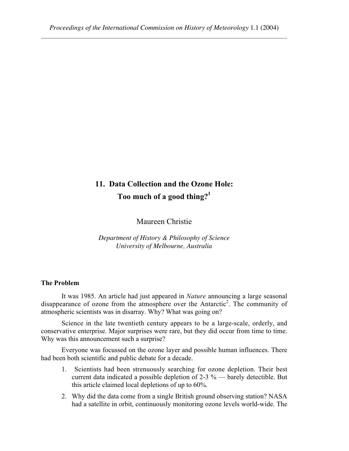# **11. Data Collection and the Ozone Hole: Too much of a good thing?1**

Maureen Christie

*Department of History & Philosophy of Science University of Melbourne, Australia*

# **The Problem**

It was 1985. An article had just appeared in *Nature* announcing a large seasonal disappearance of ozone from the atmosphere over the Antarctic<sup>2</sup>. The community of atmospheric scientists was in disarray. Why? What was going on?

Science in the late twentieth century appears to be a large-scale, orderly, and conservative enterprise. Major surprises were rare, but they did occur from time to time. Why was this announcement such a surprise?

Everyone was focussed on the ozone layer and possible human influences. There had been both scientific and public debate for a decade.

- 1. Scientists had been strenuously searching for ozone depletion. Their best current data indicated a possible depletion of 2-3 % — barely detectible. But this article claimed local depletions of up to 60%.
- 2. Why did the data come from a single British ground observing station? NASA had a satellite in orbit, continuously monitoring ozone levels world-wide. The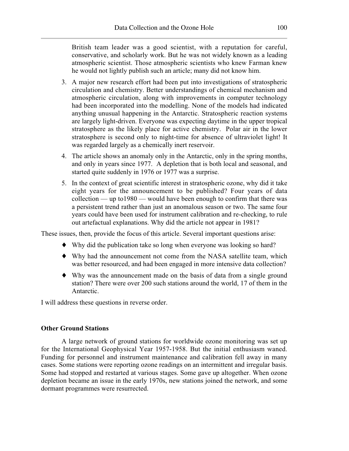British team leader was a good scientist, with a reputation for careful, conservative, and scholarly work. But he was not widely known as a leading atmospheric scientist. Those atmospheric scientists who knew Farman knew he would not lightly publish such an article; many did not know him.

- 3. A major new research effort had been put into investigations of stratospheric circulation and chemistry. Better understandings of chemical mechanism and atmospheric circulation, along with improvements in computer technology had been incorporated into the modelling. None of the models had indicated anything unusual happening in the Antarctic. Stratospheric reaction systems are largely light-driven. Everyone was expecting daytime in the upper tropical stratosphere as the likely place for active chemistry. Polar air in the lower stratosphere is second only to night-time for absence of ultraviolet light! It was regarded largely as a chemically inert reservoir.
- 4. The article shows an anomaly only in the Antarctic, only in the spring months, and only in years since 1977. A depletion that is both local and seasonal, and started quite suddenly in 1976 or 1977 was a surprise.
- 5. In the context of great scientific interest in stratospheric ozone, why did it take eight years for the announcement to be published? Four years of data collection — up to1980 — would have been enough to confirm that there was a persistent trend rather than just an anomalous season or two. The same four years could have been used for instrument calibration and re-checking, to rule out artefactual explanations. Why did the article not appear in 1981?

These issues, then, provide the focus of this article. Several important questions arise:

- ♦ Why did the publication take so long when everyone was looking so hard?
- ♦ Why had the announcement not come from the NASA satellite team, which was better resourced, and had been engaged in more intensive data collection?
- ♦ Why was the announcement made on the basis of data from a single ground station? There were over 200 such stations around the world, 17 of them in the Antarctic.

I will address these questions in reverse order.

# **Other Ground Stations**

A large network of ground stations for worldwide ozone monitoring was set up for the International Geophysical Year 1957-1958. But the initial enthusiasm waned. Funding for personnel and instrument maintenance and calibration fell away in many cases. Some stations were reporting ozone readings on an intermittent and irregular basis. Some had stopped and restarted at various stages. Some gave up altogether. When ozone depletion became an issue in the early 1970s, new stations joined the network, and some dormant programmes were resurrected.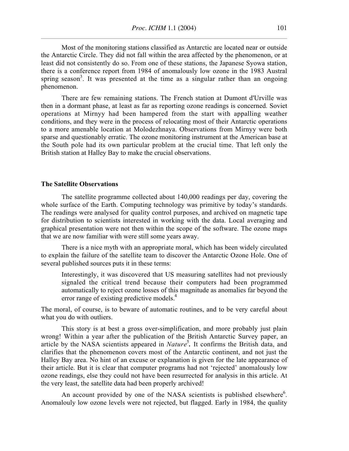Most of the monitoring stations classified as Antarctic are located near or outside the Antarctic Circle. They did not fall within the area affected by the phenomenon, or at least did not consistently do so. From one of these stations, the Japanese Syowa station, there is a conference report from 1984 of anomalously low ozone in the 1983 Austral spring season<sup>3</sup>. It was presented at the time as a singular rather than an ongoing phenomenon.

There are few remaining stations. The French station at Dumont d'Urville was then in a dormant phase, at least as far as reporting ozone readings is concerned. Soviet operations at Mirnyy had been hampered from the start with appalling weather conditions, and they were in the process of relocating most of their Antarctic operations to a more amenable location at Molodezhnaya. Observations from Mirnyy were both sparse and questionably erratic. The ozone monitoring instrument at the American base at the South pole had its own particular problem at the crucial time. That left only the British station at Halley Bay to make the crucial observations.

## **The Satellite Observations**

The satellite programme collected about 140,000 readings per day, covering the whole surface of the Earth. Computing technology was primitive by today's standards. The readings were analysed for quality control purposes, and archived on magnetic tape for distribution to scientists interested in working with the data. Local averaging and graphical presentation were not then within the scope of the software. The ozone maps that we are now familiar with were still some years away.

There is a nice myth with an appropriate moral, which has been widely circulated to explain the failure of the satellite team to discover the Antarctic Ozone Hole. One of several published sources puts it in these terms:

Interestingly, it was discovered that US measuring satellites had not previously signaled the critical trend because their computers had been programmed automatically to reject ozone losses of this magnitude as anomalies far beyond the error range of existing predictive models.<sup>4</sup>

The moral, of course, is to beware of automatic routines, and to be very careful about what you do with outliers.

This story is at best a gross over-simplification, and more probably just plain wrong! Within a year after the publication of the British Antarctic Survey paper, an article by the NASA scientists appeared in *Nature*<sup>5</sup>. It confirms the British data, and clarifies that the phenomenon covers most of the Antarctic continent, and not just the Halley Bay area. No hint of an excuse or explanation is given for the late appearance of their article. But it is clear that computer programs had not 'rejected' anomalously low ozone readings, else they could not have been resurrected for analysis in this article. At the very least, the satellite data had been properly archived!

An account provided by one of the NASA scientists is published elsewhere $6$ . Anomalouly low ozone levels were not rejected, but flagged. Early in 1984, the quality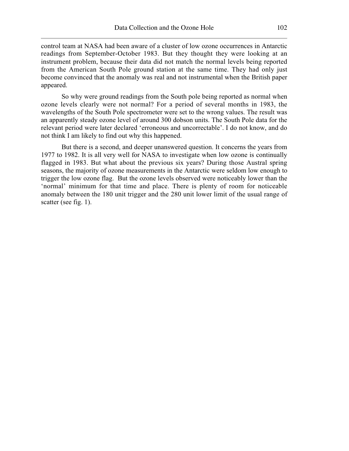control team at NASA had been aware of a cluster of low ozone occurrences in Antarctic readings from September-October 1983. But they thought they were looking at an instrument problem, because their data did not match the normal levels being reported from the American South Pole ground station at the same time. They had only just become convinced that the anomaly was real and not instrumental when the British paper appeared.

So why were ground readings from the South pole being reported as normal when ozone levels clearly were not normal? For a period of several months in 1983, the wavelengths of the South Pole spectrometer were set to the wrong values. The result was an apparently steady ozone level of around 300 dobson units. The South Pole data for the relevant period were later declared 'erroneous and uncorrectable'. I do not know, and do not think I am likely to find out why this happened.

But there is a second, and deeper unanswered question. It concerns the years from 1977 to 1982. It is all very well for NASA to investigate when low ozone is continually flagged in 1983. But what about the previous six years? During those Austral spring seasons, the majority of ozone measurements in the Antarctic were seldom low enough to trigger the low ozone flag. But the ozone levels observed were noticeably lower than the 'normal' minimum for that time and place. There is plenty of room for noticeable anomaly between the 180 unit trigger and the 280 unit lower limit of the usual range of scatter (see fig. 1).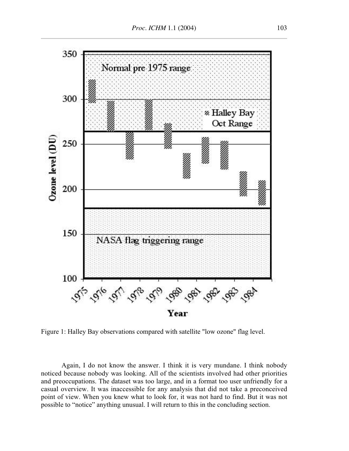

Figure 1: Halley Bay observations compared with satellite "low ozone" flag level.

Again, I do not know the answer. I think it is very mundane. I think nobody noticed because nobody was looking. All of the scientists involved had other priorities and preoccupations. The dataset was too large, and in a format too user unfriendly for a casual overview. It was inaccessible for any analysis that did not take a preconceived point of view. When you knew what to look for, it was not hard to find. But it was not possible to "notice" anything unusual. I will return to this in the concluding section.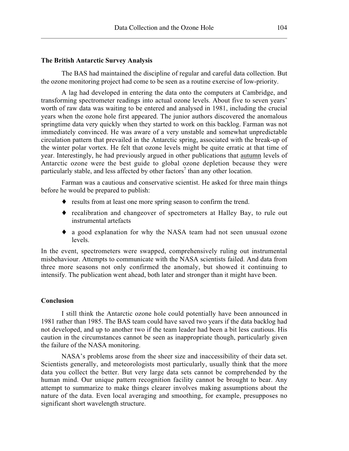#### **The British Antarctic Survey Analysis**

The BAS had maintained the discipline of regular and careful data collection. But the ozone monitoring project had come to be seen as a routine exercise of low-priority.

A lag had developed in entering the data onto the computers at Cambridge, and transforming spectrometer readings into actual ozone levels. About five to seven years' worth of raw data was waiting to be entered and analysed in 1981, including the crucial years when the ozone hole first appeared. The junior authors discovered the anomalous springtime data very quickly when they started to work on this backlog. Farman was not immediately convinced. He was aware of a very unstable and somewhat unpredictable circulation pattern that prevailed in the Antarctic spring, associated with the break-up of the winter polar vortex. He felt that ozone levels might be quite erratic at that time of year. Interestingly, he had previously argued in other publications that autumn levels of Antarctic ozone were the best guide to global ozone depletion because they were particularly stable, and less affected by other factors<sup>7</sup> than any other location.

Farman was a cautious and conservative scientist. He asked for three main things before he would be prepared to publish:

- ♦ results from at least one more spring season to confirm the trend.
- ♦ recalibration and changeover of spectrometers at Halley Bay, to rule out instrumental artefacts
- ♦ a good explanation for why the NASA team had not seen unusual ozone levels.

In the event, spectrometers were swapped, comprehensively ruling out instrumental misbehaviour. Attempts to communicate with the NASA scientists failed. And data from three more seasons not only confirmed the anomaly, but showed it continuing to intensify. The publication went ahead, both later and stronger than it might have been.

#### **Conclusion**

I still think the Antarctic ozone hole could potentially have been announced in 1981 rather than 1985. The BAS team could have saved two years if the data backlog had not developed, and up to another two if the team leader had been a bit less cautious. His caution in the circumstances cannot be seen as inappropriate though, particularly given the failure of the NASA monitoring.

NASA's problems arose from the sheer size and inaccessibility of their data set. Scientists generally, and meteorologists most particularly, usually think that the more data you collect the better. But very large data sets cannot be comprehended by the human mind. Our unique pattern recognition facility cannot be brought to bear. Any attempt to summarize to make things clearer involves making assumptions about the nature of the data. Even local averaging and smoothing, for example, presupposes no significant short wavelength structure.